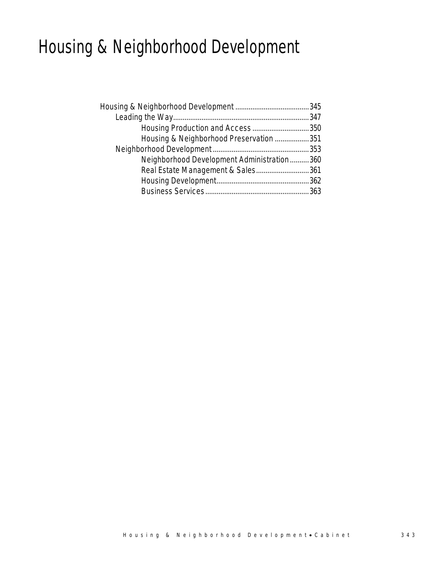# Housing & Neighborhood Development

| Housing & Neighborhood Preservation 351<br>Neighborhood Development Administration360<br>Real Estate Management & Sales361 |  |
|----------------------------------------------------------------------------------------------------------------------------|--|
|                                                                                                                            |  |
|                                                                                                                            |  |
|                                                                                                                            |  |
|                                                                                                                            |  |
|                                                                                                                            |  |
|                                                                                                                            |  |
|                                                                                                                            |  |
|                                                                                                                            |  |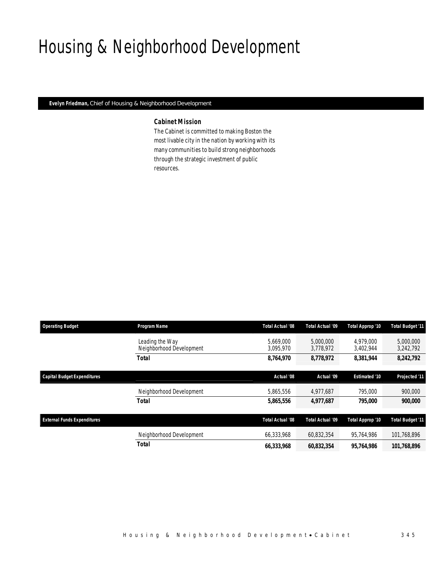# Housing & Neighborhood Development

*Evelyn Friedman, Chief of Housing & Neighborhood Development* 

## *Cabinet Mission*

The Cabinet is committed to making Boston the most livable city in the nation by working with its many communities to build strong neighborhoods through the strategic investment of public resources.

| <b>Operating Budget</b>            | Program Name                                | Total Actual '08       | Total Actual '09       | Total Approp '10       | <b>Total Budget '11</b> |
|------------------------------------|---------------------------------------------|------------------------|------------------------|------------------------|-------------------------|
|                                    | Leading the Way<br>Neighborhood Development | 5.669.000<br>3,095,970 | 5,000,000<br>3,778,972 | 4.979.000<br>3,402,944 | 5,000,000<br>3,242,792  |
|                                    | <b>Total</b>                                | 8,764,970              | 8,778,972              | 8,381,944              | 8,242,792               |
| Capital Budget Expenditures        |                                             | Actual '08             | Actual '09             | <b>Estimated '10</b>   | Projected '11           |
|                                    | Neighborhood Development                    | 5,865,556              | 4,977,687              | 795,000                | 900,000                 |
|                                    | <b>Total</b>                                | 5,865,556              | 4,977,687              | 795,000                | 900,000                 |
| <b>External Funds Expenditures</b> |                                             | Total Actual '08       | Total Actual '09       | Total Approp '10       | <b>Total Budget '11</b> |
|                                    | Neighborhood Development                    | 66,333,968             | 60.832.354             | 95,764,986             | 101,768,896             |
|                                    | Total                                       | 66,333,968             | 60,832,354             | 95,764,986             | 101.768.896             |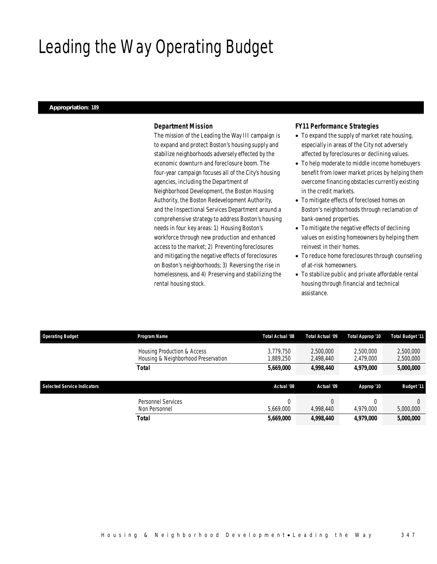# Leading the Way Operating Budget

### *Appropriation: 189*

## *Department Mission*

The mission of the Leading the Way III campaign is to expand and protect Boston's housing supply and stabilize neighborhoods adversely effected by the economic downturn and foreclosure boom. The four-year campaign focuses all of the City's housing agencies, including the Department of Neighborhood Development, the Boston Housing Authority, the Boston Redevelopment Authority, and the Inspectional Services Department around a comprehensive strategy to address Boston's housing needs in four key areas: 1) Housing Boston's workforce through new production and enhanced access to the market; 2) Preventing foreclosures and mitigating the negative effects of foreclosures on Boston's neighborhoods; 3) Reversing the rise in homelessness, and 4) Preserving and stabilizing the rental housing stock.

## *FY11 Performance Strategies*

- To expand the supply of market rate housing, especially in areas of the City not adversely affected by foreclosures or declining values.
- To help moderate to middle income homebuyers benefit from lower market prices by helping them overcome financing obstacles currently existing in the credit markets.
- To mitigate effects of foreclosed homes on Boston's neighborhoods through reclamation of bank-owned properties.
- To mitigate the negative effects of declining values on existing homeowners by helping them reinvest in their homes.
- To reduce home foreclosures through counseling of at-risk homeowners.
- To stabilize public and private affordable rental housing through financial and technical assistance.

| <b>Operating Budget</b>     | <b>Program Name</b>                                                | Total Actual '08      | Total Actual '09       | Total Approp '10       | <b>Total Budget '11</b> |
|-----------------------------|--------------------------------------------------------------------|-----------------------|------------------------|------------------------|-------------------------|
|                             | Housing Production & Access<br>Housing & Neighborhood Preservation | 3.779.750<br>.889.250 | 2.500.000<br>2,498,440 | 2.500.000<br>2,479,000 | 2,500,000<br>2,500,000  |
|                             | Total                                                              | 5,669,000             | 4,998,440              | 4,979,000              | 5,000,000               |
| Selected Service Indicators |                                                                    | Actual '08            | Actual '09             | Approp '10             | <b>Budget '11</b>       |
|                             |                                                                    |                       |                        |                        |                         |
|                             | Personnel Services<br>Non Personnel                                | 5.669.000             | 4,998,440              | 4,979,000              | $\Omega$<br>5,000,000   |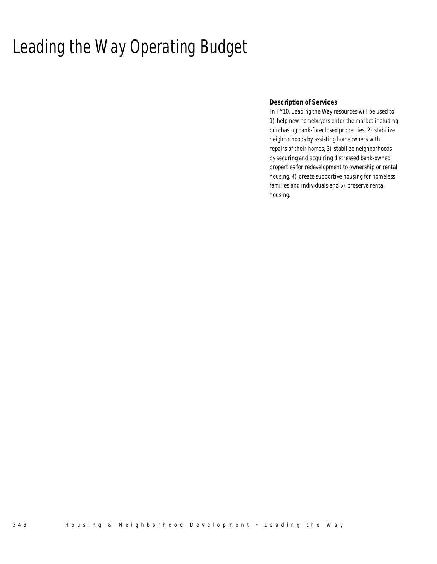# Leading the Way Operating Budget

## *Description of Services*

In FY10, Leading the Way resources will be used to 1) help new homebuyers enter the market including purchasing bank-foreclosed properties, 2) stabilize neighborhoods by assisting homeowners with repairs of their homes, 3) stabilize neighborhoods by securing and acquiring distressed bank-owned properties for redevelopment to ownership or rental housing, 4) create supportive housing for homeless families and individuals and 5) preserve rental housing.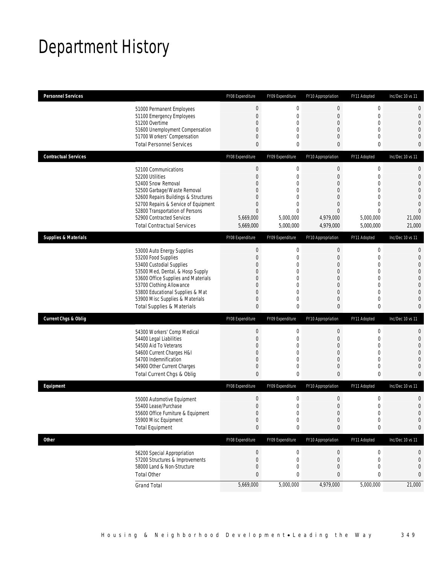# Department History

| <b>Personnel Services</b>                                                | FY08 Expenditure                     | FY09 Expenditure              | FY10 Appropriation               | FY11 Adopted                         | Inc/Dec 10 vs 11              |
|--------------------------------------------------------------------------|--------------------------------------|-------------------------------|----------------------------------|--------------------------------------|-------------------------------|
| 51000 Permanent Employees                                                | $\boldsymbol{0}$                     | $\mathbf 0$                   | $\boldsymbol{0}$                 | $\boldsymbol{0}$                     | 0                             |
| 51100 Emergency Employees                                                | $\boldsymbol{0}$                     | $\boldsymbol{0}$              | $\theta$                         | $\mathbf 0$                          | 0                             |
| 51200 Overtime                                                           | $\boldsymbol{0}$                     | 0                             | $\mathbf{0}$                     | $\mathbf 0$                          | $\overline{0}$                |
| 51600 Unemployment Compensation                                          | 0<br>0                               | 0<br>0                        | 0<br>$\theta$                    | $\overline{0}$<br>$\overline{0}$     | 0<br>0                        |
| 51700 Workers' Compensation<br><b>Total Personnel Services</b>           | $\mathbf{0}$                         | 0                             | 0                                | $\bf{0}$                             | 0                             |
| <b>Contractual Services</b>                                              | FY08 Expenditure                     | FY09 Expenditure              | FY10 Appropriation               | FY11 Adopted                         | Inc/Dec 10 vs 11              |
|                                                                          |                                      |                               |                                  |                                      |                               |
| 52100 Communications                                                     | $\boldsymbol{0}$                     | $\boldsymbol{0}$              | $\boldsymbol{0}$                 | $\boldsymbol{0}$                     | 0                             |
| 52200 Utilities<br>52400 Snow Removal                                    | $\boldsymbol{0}$<br>0                | $\mathbf 0$<br>0              | $\mathbf{0}$<br>0                | $\mathbf 0$<br>$\Omega$              | $\mathbf 0$<br>$\overline{0}$ |
| 52500 Garbage/Waste Removal                                              | 0                                    | $\overline{0}$                | $\overline{0}$                   | $\overline{0}$                       | 0                             |
| 52600 Repairs Buildings & Structures                                     | 0                                    | 0                             | 0                                | $\overline{0}$                       | 0                             |
| 52700 Repairs & Service of Equipment                                     | $\boldsymbol{0}$                     | $\overline{0}$                | $\mathbf{0}$                     | $\mathbf{0}$                         | $\overline{0}$                |
| 52800 Transportation of Persons                                          | $\mathbf{0}$                         | $\overline{0}$                | $\mathbf{0}$                     | $\mathbf{0}$                         | $\overline{0}$                |
| 52900 Contracted Services                                                | 5,669,000                            | 5,000,000                     | 4,979,000                        | 5,000,000                            | 21,000                        |
| <b>Total Contractual Services</b>                                        | 5,669,000                            | 5,000,000                     | 4,979,000                        | 5,000,000                            | 21,000                        |
| <b>Supplies &amp; Materials</b>                                          | FY08 Expenditure                     | FY09 Expenditure              | FY10 Appropriation               | FY11 Adopted                         | Inc/Dec 10 vs 11              |
| 53000 Auto Energy Supplies                                               | $\boldsymbol{0}$                     | $\boldsymbol{0}$              | $\boldsymbol{0}$                 | $\boldsymbol{0}$                     | 0                             |
| 53200 Food Supplies                                                      | $\boldsymbol{0}$                     | $\mathbf 0$                   | $\mathbf{0}$                     | $\mathbf 0$                          | $\mathbf 0$                   |
| 53400 Custodial Supplies                                                 | 0                                    | 0                             | 0                                | $\mathbf 0$                          | 0                             |
| 53500 Med, Dental, & Hosp Supply                                         | 0                                    | $\mathbf 0$                   | $\overline{0}$                   | $\mathbf{0}$                         | 0                             |
| 53600 Office Supplies and Materials                                      | 0                                    | 0                             | 0                                | $\mathbf 0$                          | 0                             |
| 53700 Clothing Allowance                                                 | 0                                    | 0                             | $\theta$                         | $\mathbf{0}$                         | $\overline{0}$                |
| 53800 Educational Supplies & Mat                                         | 0                                    | $\overline{0}$<br>0           | $\overline{0}$<br>$\theta$       | $\mathbf{0}$<br>$\mathbf{0}$         | 0<br>0                        |
| 53900 Misc Supplies & Materials<br><b>Total Supplies &amp; Materials</b> | 0<br>$\mathbf{0}$                    | 0                             | 0                                | $\bf{0}$                             | 0                             |
|                                                                          |                                      |                               |                                  |                                      |                               |
| <b>Current Chgs &amp; Oblig</b>                                          | FY08 Expenditure                     | FY09 Expenditure              | FY10 Appropriation               | FY11 Adopted                         | Inc/Dec 10 vs 11              |
| 54300 Workers' Comp Medical                                              | $\boldsymbol{0}$                     | $\boldsymbol{0}$              | $\boldsymbol{0}$                 | $\boldsymbol{0}$                     | 0                             |
| 54400 Legal Liabilities                                                  | $\boldsymbol{0}$                     | $\mathbf 0$                   | $\mathbf{0}$                     | $\mathbf{0}$                         | $\mathbf 0$                   |
| 54500 Aid To Veterans                                                    | 0                                    | 0                             | 0                                | $\overline{0}$                       | 0                             |
| 54600 Current Charges H&I                                                | 0                                    | $\mathbf 0$                   | $\overline{0}$                   | $\mathbf{0}$                         | 0                             |
| 54700 Indemnification                                                    | $\mathbf{0}$                         | 0                             | 0                                | $\overline{0}$<br>$\mathbf 0$        | 0                             |
| 54900 Other Current Charges<br>Total Current Chgs & Oblig                | $\boldsymbol{0}$<br>$\mathbf{0}$     | $\mathbf 0$<br>$\overline{0}$ | $\mathbf 0$<br>$\mathbf{0}$      | $\mathbf{0}$                         | 0<br>0                        |
| Equipment                                                                | FY08 Expenditure                     | FY09 Expenditure              | FY10 Appropriation               | FY11 Adopted                         | Inc/Dec 10 vs 11              |
|                                                                          |                                      |                               |                                  |                                      |                               |
| 55000 Automotive Equipment                                               | $\boldsymbol{0}$                     | $\boldsymbol{0}$              | $\boldsymbol{0}$                 | $\boldsymbol{0}$                     | 0                             |
| 55400 Lease/Purchase                                                     | $\overline{0}$                       | 0                             | $\mathbf{0}$                     | $\mathbf 0$                          | $\overline{0}$                |
| 55600 Office Furniture & Equipment<br>55900 Misc Equipment               | $\boldsymbol{0}$<br>$\boldsymbol{0}$ | 0<br>0                        | $\boldsymbol{0}$<br>$\mathbf{0}$ | $\boldsymbol{0}$<br>$\boldsymbol{0}$ | $\mathbf 0$<br>0              |
| <b>Total Equipment</b>                                                   | $\pmb{0}$                            | 0                             | 0                                | 0                                    | 0                             |
| <b>Other</b>                                                             | FY08 Expenditure                     | FY09 Expenditure              | FY10 Appropriation               | FY11 Adopted                         | Inc/Dec 10 vs 11              |
|                                                                          |                                      |                               |                                  |                                      |                               |
| 56200 Special Appropriation                                              | $\boldsymbol{0}$                     | 0                             | $\theta$                         | 0                                    | 0                             |
| 57200 Structures & Improvements                                          | $\boldsymbol{0}$                     | 0                             | $\mathbf 0$                      | $\mathbf 0$                          | 0                             |
| 58000 Land & Non-Structure                                               | $\boldsymbol{0}$                     | 0                             | $\theta$                         | $\mathbf{0}$                         | 0                             |
| <b>Total Other</b>                                                       | $\pmb{0}$                            | 0                             | $\bf{0}$                         | 0                                    | 0                             |
| <b>Grand Total</b>                                                       | 5,669,000                            | 5,000,000                     | 4,979,000                        | 5,000,000                            | 21,000                        |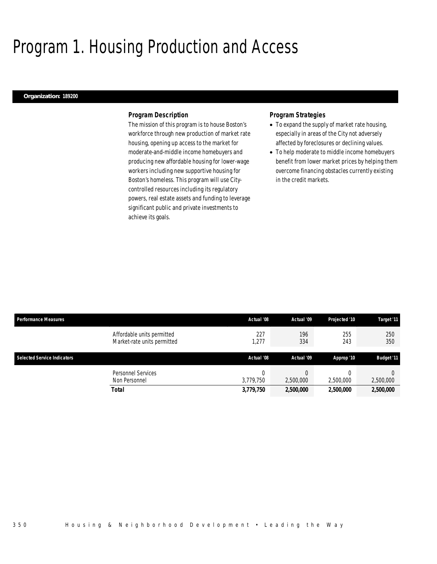# Program 1. Housing Production and Access

### *Organization: 189200*

### *Program Description*

The mission of this program is to house Boston's workforce through new production of market rate housing, opening up access to the market for moderate-and-middle income homebuyers and producing new affordable housing for lower-wage workers including new supportive housing for Boston's homeless. This program will use Citycontrolled resources including its regulatory powers, real estate assets and funding to leverage significant public and private investments to achieve its goals.

### *Program Strategies*

- To expand the supply of market rate housing, especially in areas of the City not adversely affected by foreclosures or declining values.
- To help moderate to middle income homebuyers benefit from lower market prices by helping them overcome financing obstacles currently existing in the credit markets.

| <b>Performance Measures</b>        |                                                           | Actual '08  | Actual '09 | Projected '10 | Target '11        |
|------------------------------------|-----------------------------------------------------------|-------------|------------|---------------|-------------------|
|                                    | Affordable units permitted<br>Market-rate units permitted | 227<br>.277 | 196<br>334 | 255<br>243    | 250<br>350        |
| <b>Selected Service Indicators</b> |                                                           | Actual '08  | Actual '09 | Approp '10    | <b>Budget '11</b> |
|                                    | Personnel Services<br>Non Personnel                       | 3.779.750   | 2,500,000  | 2,500,000     | 2,500,000         |
|                                    | Total                                                     | 3,779,750   | 2,500,000  | 2,500,000     | 2,500,000         |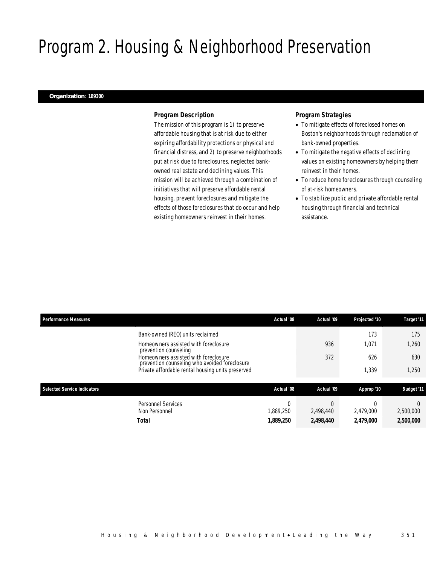# Program 2. Housing & Neighborhood Preservation

### *Organization: 189300*

### *Program Description*

The mission of this program is 1) to preserve affordable housing that is at risk due to either expiring affordability protections or physical and financial distress, and 2) to preserve neighborhoods put at risk due to foreclosures, neglected bankowned real estate and declining values. This mission will be achieved through a combination of initiatives that will preserve affordable rental housing, prevent foreclosures and mitigate the effects of those foreclosures that do occur and help existing homeowners reinvest in their homes.

## *Program Strategies*

- To mitigate effects of foreclosed homes on Boston's neighborhoods through reclamation of bank-owned properties.
- To mitigate the negative effects of declining values on existing homeowners by helping them reinvest in their homes.
- To reduce home foreclosures through counseling of at-risk homeowners.
- To stabilize public and private affordable rental housing through financial and technical assistance.

| <b>Performance Measures</b>                                                                                                                                                                | Actual '08            | Actual '09 | Projected '10       | Target '11          |
|--------------------------------------------------------------------------------------------------------------------------------------------------------------------------------------------|-----------------------|------------|---------------------|---------------------|
| Bank-owned (REO) units reclaimed<br>Homeowners assisted with foreclosure<br>prevention counseling<br>Homeowners assisted with foreclosure<br>prevention counseling who avoided foreclosure |                       | 936<br>372 | 173<br>1.071<br>626 | 175<br>1,260<br>630 |
| Private affordable rental housing units preserved                                                                                                                                          |                       |            | 1.339               | 1,250               |
| Selected Service Indicators                                                                                                                                                                | Actual '08            | Actual '09 | Approp '10          | <b>Budget '11</b>   |
| <b>Personnel Services</b><br>Non Personnel                                                                                                                                                 | $\Omega$<br>1.889.250 | 2,498,440  | 2.479.000           | 2,500,000           |
| <b>Total</b>                                                                                                                                                                               | 1,889,250             | 2,498,440  | 2,479,000           | 2,500,000           |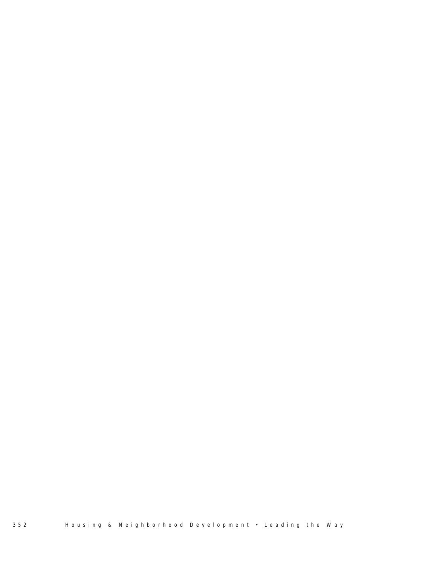352 Housing & Neighborhood De velopment • Leading the Way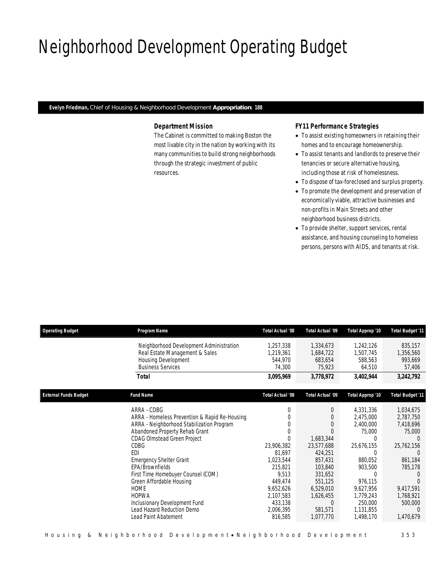# Neighborhood Development Operating Budget

*Evelyn Friedman, Chief of Housing & Neighborhood Development Appropriation: 188* 

## *Department Mission*

The Cabinet is committed to making Boston the most livable city in the nation by working with its many communities to build strong neighborhoods through the strategic investment of public resources.

## *FY11 Performance Strategies*

- To assist existing homeowners in retaining their homes and to encourage homeownership.
- To assist tenants and landlords to preserve their tenancies or secure alternative housing, including those at risk of homelessness.
- To dispose of tax-foreclosed and surplus property.
- To promote the development and preservation of economically viable, attractive businesses and non-profits in Main Streets and other neighborhood business districts.
- To provide shelter, support services, rental assistance, and housing counseling to homeless persons, persons with AIDS, and tenants at risk.

| <b>Operating Budget</b>      | Program Name                                                                                                                                                                                                                                                                                                                                                                                                                                  | Total Actual '08                                                                                                                               | <b>Total Actual '09</b>                                                                                                                                             | Total Approp '10                                                                                                                                                                         | <b>Total Budget '11</b>                                                                                                                                     |
|------------------------------|-----------------------------------------------------------------------------------------------------------------------------------------------------------------------------------------------------------------------------------------------------------------------------------------------------------------------------------------------------------------------------------------------------------------------------------------------|------------------------------------------------------------------------------------------------------------------------------------------------|---------------------------------------------------------------------------------------------------------------------------------------------------------------------|------------------------------------------------------------------------------------------------------------------------------------------------------------------------------------------|-------------------------------------------------------------------------------------------------------------------------------------------------------------|
|                              | Neighborhood Development Administration<br>Real Estate Management & Sales<br>Housing Development<br><b>Business Services</b>                                                                                                                                                                                                                                                                                                                  | 1,257,338<br>1,219,361<br>544,970<br>74,300                                                                                                    | 1,334,673<br>1,684,722<br>683,654<br>75,923                                                                                                                         | 1,242,126<br>1,507,745<br>588,563<br>64,510                                                                                                                                              | 835,157<br>1,356,560<br>993,669<br>57,406                                                                                                                   |
|                              | Total                                                                                                                                                                                                                                                                                                                                                                                                                                         | 3,095,969                                                                                                                                      | 3,778,972                                                                                                                                                           | 3,402,944                                                                                                                                                                                | 3,242,792                                                                                                                                                   |
| <b>External Funds Budget</b> | <b>Fund Name</b>                                                                                                                                                                                                                                                                                                                                                                                                                              | Total Actual '08                                                                                                                               | <b>Total Actual '09</b>                                                                                                                                             | Total Approp '10                                                                                                                                                                         | <b>Total Budget '11</b>                                                                                                                                     |
|                              | ARRA - CDBG<br>ARRA - Homeless Prevention & Rapid Re-Housing<br>ARRA - Neighborhood Stabilization Program<br>Abandoned Property Rehab Grant<br>CDAG Olmstead Green Project<br><b>CDBG</b><br>EDI<br><b>Emergency Shelter Grant</b><br>EPA/Brownfields<br>First Time Homebuyer Counsel (COM)<br>Green Affordable Housing<br><b>HOME</b><br><b>HOPWA</b><br>Inclusionary Development Fund<br>Lead Hazard Reduction Demo<br>Lead Paint Abatement | 0<br>$\Omega$<br>23,906,382<br>81,697<br>1,023,544<br>215,821<br>9,513<br>449,474<br>9,652,626<br>2,107,583<br>433,138<br>2,006,395<br>816,585 | $\overline{0}$<br>0<br>$\Omega$<br>1,683,344<br>23,577,688<br>424,251<br>857,431<br>103,840<br>331,652<br>551,125<br>6,529,010<br>1,626,455<br>581,571<br>1,077,770 | 4,331,336<br>2,475,000<br>2,400,000<br>75,000<br>0<br>25,676,155<br>$\Omega$<br>880,052<br>903,500<br>$\Omega$<br>976,115<br>9,627,956<br>1,779,243<br>250,000<br>1,131,855<br>1,498,170 | 1,034,675<br>2,787,750<br>7,418,696<br>75,000<br>$\Omega$<br>25,762,156<br>$\left($<br>861,184<br>785,178<br>9,417,591<br>1,768,921<br>500,000<br>1,470,679 |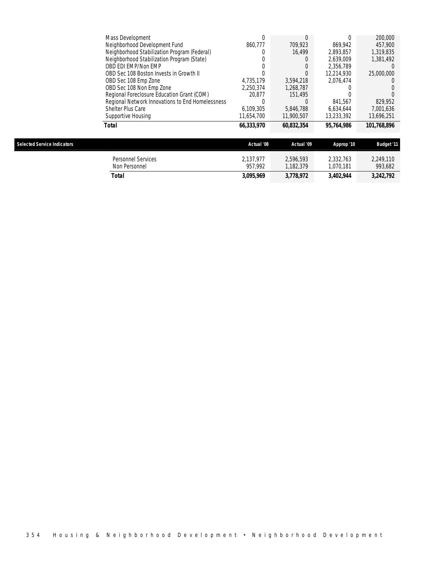| Mass Development                                 |            |            |            | 200,000     |
|--------------------------------------------------|------------|------------|------------|-------------|
| Neighborhood Development Fund                    | 860.777    | 709.923    | 869.942    | 457.900     |
| Neighborhood Stabilization Program (Federal)     |            | 16.499     | 2,893,857  | 1,319,835   |
| Neighborhood Stabilization Program (State)       |            |            | 2,639,009  | 1,381,492   |
| OBD EDI EMP/Non EMP                              |            |            | 2.356.789  |             |
| OBD Sec 108 Boston Invests in Growth II          |            |            | 12,214,930 | 25,000,000  |
| OBD Sec 108 Emp Zone                             | 4.735.179  | 3,594,218  | 2.076.474  |             |
| OBD Sec 108 Non Emp Zone                         | 2.250.374  | 1.268.787  |            |             |
| Regional Foreclosure Education Grant (COM)       | 20.877     | 151,495    |            |             |
| Regional Network Innovations to End Homelessness |            |            | 841.567    | 829,952     |
| Shelter Plus Care                                | 6.109.305  | 5,846,788  | 6.634.644  | 7,001,636   |
| Supportive Housing                               | 11,654,700 | 11,900,507 | 13,233,392 | 13,696,251  |
| <b>Total</b>                                     | 66,333,970 | 60,832,354 | 95,764,986 | 101,768,896 |

| <b>Selected Service Indicators</b>  | Actual '08           | Actual '09            | Approp '10            | <b>Budget '11</b>    |
|-------------------------------------|----------------------|-----------------------|-----------------------|----------------------|
| Personnel Services<br>Non Personnel | 2.137.977<br>957.992 | 2,596,593<br>.182.379 | 2,332,763<br>.070.181 | 2.249.110<br>993,682 |
| Total                               | 3,095,969            | 3,778,972             | 3,402,944             | 3,242,792            |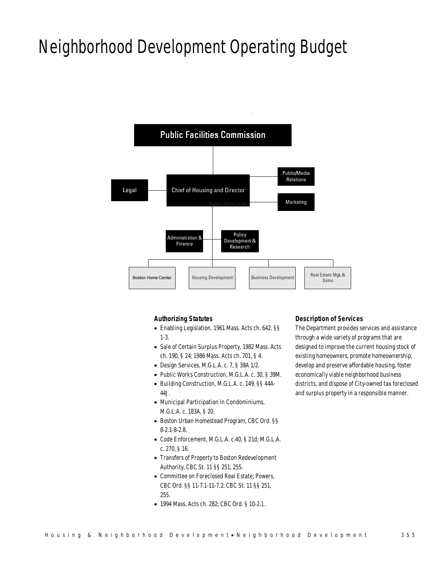# Neighborhood Development Operating Budget



## *Authorizing Statutes*

- Enabling Legislation, 1961 Mass. Acts ch. 642, §§ 1-3.
- Sale of Certain Surplus Property, 1982 Mass. Acts ch. 190, § 24; 1986 Mass. Acts ch. 701, § 4.
- Design Services, M.G.L.A. c. 7, § 38A 1/2.
- Public Works Construction, M.G.L.A. c. 30, § 39M.
- Building Construction, M.G.L.A. c. 149, §§ 44A-44J.
- Municipal Participation in Condominiums, M.G.L.A. c. 183A, § 20.
- Boston Urban Homestead Program, CBC Ord. §§ 8-2.1-8-2.8.
- Code Enforcement, M.G.L.A. c.40, § 21d; M.G.L.A. c. 270, § 16.
- Transfers of Property to Boston Redevelopment Authority, CBC St. 11 §§ 251, 255.
- Committee on Foreclosed Real Estate; Powers, CBC Ord. §§ 11-7.1-11-7.2; CBC St. 11 §§ 251, 255.
- 1994 Mass. Acts ch. 282; CBC Ord. § 10-2.1.

## *Description of Services*

The Department provides services and assistance through a wide variety of programs that are designed to improve the current housing stock of existing homeowners, promote homeownership, develop and preserve affordable housing, foster economically viable neighborhood business districts, and dispose of City-owned tax foreclosed and surplus property in a responsible manner.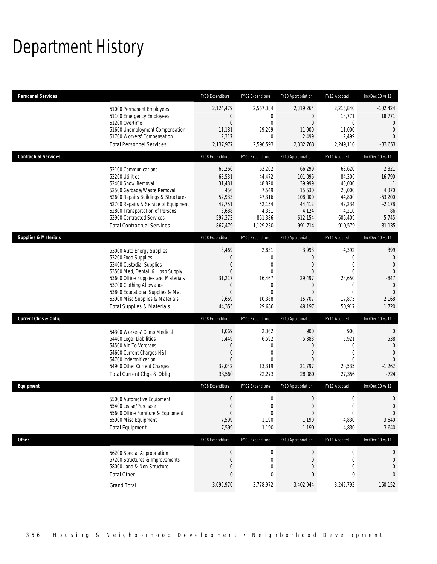# Department History

| <b>Personnel Services</b>       |                                                                                                                                                                                                                                                                                                      | FY08 Expenditure                                                                               | FY09 Expenditure                                                                                                   | FY10 Appropriation                                                                                                           | FY11 Adopted                                                                                                  | Inc/Dec 10 vs 11                                                                                             |
|---------------------------------|------------------------------------------------------------------------------------------------------------------------------------------------------------------------------------------------------------------------------------------------------------------------------------------------------|------------------------------------------------------------------------------------------------|--------------------------------------------------------------------------------------------------------------------|------------------------------------------------------------------------------------------------------------------------------|---------------------------------------------------------------------------------------------------------------|--------------------------------------------------------------------------------------------------------------|
|                                 | 51000 Permanent Employees<br>51100 Emergency Employees<br>51200 Overtime<br>51600 Unemployment Compensation<br>51700 Workers' Compensation<br><b>Total Personnel Services</b>                                                                                                                        | 2,124,479<br>0<br>$\mathbf 0$<br>11,181<br>2,317<br>2,137,977                                  | 2,567,384<br>$\mathbf{0}$<br>$\mathbf{0}$<br>29,209<br>0<br>2,596,593                                              | 2,319,264<br>$\overline{0}$<br>$\overline{0}$<br>11,000<br>2,499<br>2,332,763                                                | 2,216,840<br>18,771<br>0<br>11,000<br>2,499<br>2,249,110                                                      | $-102,424$<br>18,771<br>$\mathbf 0$<br>$\mathbf{0}$<br>$\Omega$<br>$-83,653$                                 |
| <b>Contractual Services</b>     |                                                                                                                                                                                                                                                                                                      | FY08 Expenditure                                                                               | FY09 Expenditure                                                                                                   | FY10 Appropriation                                                                                                           | FY11 Adopted                                                                                                  | Inc/Dec 10 vs 11                                                                                             |
|                                 | 52100 Communications<br>52200 Utilities<br>52400 Snow Removal<br>52500 Garbage/Waste Removal<br>52600 Repairs Buildings & Structures<br>52700 Repairs & Service of Equipment<br>52800 Transportation of Persons<br>52900 Contracted Services<br><b>Total Contractual Services</b>                    | 65,266<br>68,531<br>31,481<br>456<br>52,933<br>47,751<br>3,688<br>597,373<br>867,479           | 63,202<br>44,472<br>48,820<br>7,549<br>47,316<br>52,154<br>4,331<br>861,386<br>1,129,230                           | 66,299<br>101,096<br>39,999<br>15,630<br>108,000<br>44,412<br>4,124<br>612,154<br>991,714                                    | 68,620<br>84,306<br>40,000<br>20,000<br>44,800<br>42,234<br>4,210<br>606,409<br>910,579                       | 2,321<br>$-16,790$<br>$\mathbf{1}$<br>4,370<br>$-63,200$<br>$-2,178$<br>86<br>$-5,745$<br>$-81,135$          |
| <b>Supplies &amp; Materials</b> |                                                                                                                                                                                                                                                                                                      | FY08 Expenditure                                                                               | FY09 Expenditure                                                                                                   | FY10 Appropriation                                                                                                           | FY11 Adopted                                                                                                  | Inc/Dec 10 vs 11                                                                                             |
|                                 | 53000 Auto Energy Supplies<br>53200 Food Supplies<br>53400 Custodial Supplies<br>53500 Med, Dental, & Hosp Supply<br>53600 Office Supplies and Materials<br>53700 Clothing Allowance<br>53800 Educational Supplies & Mat<br>53900 Misc Supplies & Materials<br><b>Total Supplies &amp; Materials</b> | 3,469<br>0<br>$\overline{0}$<br>$\mathbf{0}$<br>31,217<br>0<br>$\mathbf{0}$<br>9,669<br>44,355 | 2,831<br>$\mathbf{0}$<br>$\mathbf{0}$<br>$\mathbf{0}$<br>16,467<br>$\mathbf 0$<br>$\mathbf{0}$<br>10,388<br>29,686 | 3,993<br>$\boldsymbol{0}$<br>$\overline{0}$<br>$\overline{0}$<br>29,497<br>$\mathbf 0$<br>$\overline{0}$<br>15,707<br>49,197 | 4,392<br>$\mathbf 0$<br>$\overline{0}$<br>$\overline{0}$<br>28,650<br>0<br>$\overline{0}$<br>17,875<br>50,917 | 399<br>$\mathbf 0$<br>$\overline{0}$<br>$\mathbf{0}$<br>$-847$<br>$\theta$<br>$\mathbf{0}$<br>2,168<br>1,720 |
| <b>Current Chgs &amp; Oblig</b> |                                                                                                                                                                                                                                                                                                      | FY08 Expenditure                                                                               | FY09 Expenditure                                                                                                   | FY10 Appropriation                                                                                                           | FY11 Adopted                                                                                                  | Inc/Dec 10 vs 11                                                                                             |
|                                 | 54300 Workers' Comp Medical<br>54400 Legal Liabilities<br>54500 Aid To Veterans<br>54600 Current Charges H&I<br>54700 Indemnification<br>54900 Other Current Charges<br>Total Current Chgs & Oblig                                                                                                   | 1,069<br>5,449<br>0<br>$\overline{0}$<br>$\overline{0}$<br>32,042<br>38,560                    | 2,362<br>6,592<br>$\mathbf{0}$<br>$\mathbf{0}$<br>$\Omega$<br>13,319<br>22,273                                     | 900<br>5,383<br>$\overline{0}$<br>$\mathbf{0}$<br>$\mathbf{0}$<br>21,797<br>28,080                                           | 900<br>5,921<br>0<br>$\overline{0}$<br>$\overline{0}$<br>20,535<br>27,356                                     | $\mathbf{0}$<br>538<br>$\mathbf{0}$<br>$\overline{0}$<br>$\Omega$<br>$-1,262$<br>$-724$                      |
| Equipment                       |                                                                                                                                                                                                                                                                                                      | FY08 Expenditure                                                                               | FY09 Expenditure                                                                                                   | FY10 Appropriation                                                                                                           | FY11 Adopted                                                                                                  | Inc/Dec 10 vs 11                                                                                             |
|                                 | 55000 Automotive Equipment<br>55400 Lease/Purchase<br>55600 Office Furniture & Equipment<br>55900 Misc Equipment<br><b>Total Equipment</b>                                                                                                                                                           | $\mathbf 0$<br>$\mathbf{0}$<br>$\boldsymbol{0}$<br>7,599<br>7,599                              | $\mathbf 0$<br>0<br>$\boldsymbol{0}$<br>1,190<br>1,190                                                             | $\mathbf 0$<br>$\overline{0}$<br>$\boldsymbol{0}$<br>1,190<br>1,190                                                          | $\mathbf 0$<br>$\overline{0}$<br>$\boldsymbol{0}$<br>4,830<br>4,830                                           | 0<br>$\mathbf{0}$<br>$\mathbf{0}$<br>3,640<br>3,640                                                          |
| <b>Other</b>                    |                                                                                                                                                                                                                                                                                                      | FY08 Expenditure                                                                               | FY09 Expenditure                                                                                                   | FY10 Appropriation                                                                                                           | FY11 Adopted                                                                                                  | Inc/Dec 10 vs 11                                                                                             |
|                                 | 56200 Special Appropriation<br>57200 Structures & Improvements<br>58000 Land & Non-Structure<br><b>Total Other</b>                                                                                                                                                                                   | $\boldsymbol{0}$<br>0<br>0<br>0                                                                | $\boldsymbol{0}$<br>$\mathbf 0$<br>$\mathbf{0}$<br>0                                                               | 0<br>0<br>$\mathbf 0$<br>0                                                                                                   | 0<br>0<br>0<br>0                                                                                              | $\theta$<br>$\mathbf 0$<br>0<br>$\Omega$                                                                     |
|                                 | <b>Grand Total</b>                                                                                                                                                                                                                                                                                   | 3,095,970                                                                                      | 3,778,972                                                                                                          | 3,402,944                                                                                                                    | 3,242,792                                                                                                     | $-160, 152$                                                                                                  |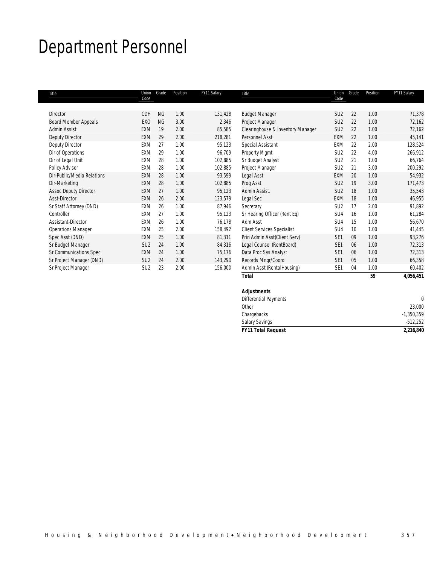# Department Personnel

| Title                        | Union<br>Code   | Grade     | Position | FY11 Salary | Title                             | Union<br>Code   | Grade | Position | FY11 Salary |
|------------------------------|-----------------|-----------|----------|-------------|-----------------------------------|-----------------|-------|----------|-------------|
| <b>Director</b>              | CDH             | <b>NG</b> | 1.00     | 131,428     | <b>Budget Manager</b>             | SU <sub>2</sub> | 22    | 1.00     | 71,378      |
| <b>Board Member Appeals</b>  | EX <sub>0</sub> | <b>NG</b> | 3.00     | 2,346       | Project Manager                   | SU <sub>2</sub> | 22    | 1.00     | 72,162      |
| Admin Assist                 | <b>EXM</b>      | 19        | 2.00     | 85,585      | Clearinghouse & Inventory Manager | SU <sub>2</sub> | 22    | 1.00     | 72,162      |
| Deputy Director              | EXM             | 29        | 2.00     | 218,281     | Personnel Asst                    | <b>EXM</b>      | 22    | 1.00     | 45,141      |
| Deputy Director              | EXM             | 27        | 1.00     | 95,123      | Special Assistant                 | EXM             | 22    | 2.00     | 128,524     |
| Dir of Operations            | EXM             | 29        | 1.00     | 96,709      | Property Mgmt                     | SU <sub>2</sub> | 22    | 4.00     | 266,912     |
| Dir of Legal Unit            | EXM             | 28        | 1.00     | 102,885     | Sr Budget Analyst                 | SU <sub>2</sub> | 21    | 1.00     | 66,764      |
| Policy Advisor               | <b>EXM</b>      | 28        | 1.00     | 102,885     | Project Manager                   | SU <sub>2</sub> | 21    | 3.00     | 200,292     |
| Dir-Public/Media Relations   | <b>EXM</b>      | 28        | 1.00     | 93,599      | Legal Asst                        | <b>EXM</b>      | 20    | 1.00     | 54,932      |
| Dir-Marketing                | <b>EXM</b>      | 28        | 1.00     | 102,885     | Prog Asst                         | SU <sub>2</sub> | 19    | 3.00     | 171,473     |
| <b>Assoc Deputy Director</b> | <b>EXM</b>      | 27        | 1.00     | 95,123      | Admin Assist.                     | SU <sub>2</sub> | 18    | 1.00     | 35,543      |
| Asst-Director                | <b>EXM</b>      | 26        | 2.00     | 123,579     | Legal Sec                         | <b>EXM</b>      | 18    | 1.00     | 46,955      |
| Sr Staff Attorney (DND)      | EXM             | 26        | 1.00     | 87,946      | Secretary                         | SU <sub>2</sub> | 17    | 2.00     | 91,892      |
| Controller                   | EXM             | 27        | 1.00     | 95,123      | Sr Hearing Officer (Rent Eq)      | SU4             | 16    | 1.00     | 61,284      |
| Assistant-Director           | EXM             | 26        | 1.00     | 76,178      | Adm Asst                          | SU4             | 15    | 1.00     | 56,670      |
| <b>Operations Manager</b>    | EXM             | 25        | 2.00     | 158,492     | <b>Client Services Specialist</b> | SU4             | 10    | 1.00     | 41,445      |
| Spec Asst (DND)              | <b>EXM</b>      | 25        | 1.00     | 81,311      | Prin Admin Asst(Client Serv)      | SE <sub>1</sub> | 09    | 1.00     | 93,276      |
| Sr Budget Manager            | SU <sub>2</sub> | 24        | 1.00     | 84,316      | Legal Counsel (RentBoard)         | SE <sub>1</sub> | 06    | 1.00     | 72,313      |
| Sr Communications Spec       | <b>EXM</b>      | 24        | 1.00     | 75,176      | Data Proc Sys Analyst             | SE <sub>1</sub> | 06    | 1.00     | 72,313      |
| Sr Project Manager (DND)     | SU <sub>2</sub> | 24        | 2.00     | 143,290     | Records Mngr/Coord                | SE <sub>1</sub> | 05    | 1.00     | 66,358      |
| Sr Project Manager           | SU <sub>2</sub> | 23        | 2.00     | 156,000     | Admin Asst (RentalHousing)        | SE <sub>1</sub> | 04    | 1.00     | 60,402      |
|                              |                 |           |          |             | <b>Total</b>                      |                 |       | 59       | 4,056,451   |

| <b>FY11 Total Request</b>    | 2,216,840    |
|------------------------------|--------------|
| <b>Salary Savings</b>        | $-512,252$   |
| Chargebacks                  | $-1,350,359$ |
| Other                        | 23,000       |
| <b>Differential Payments</b> |              |
| <b>Adjustments</b>           |              |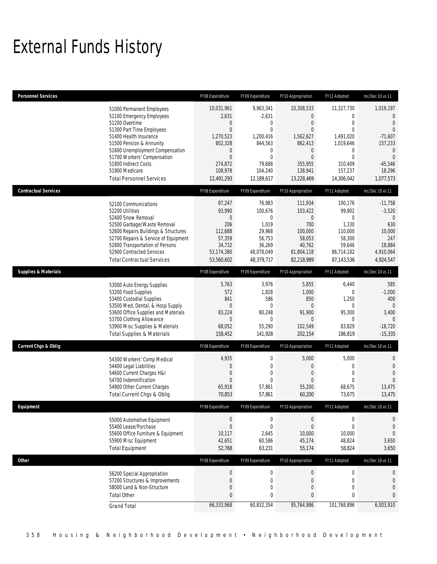# External Funds History

| <b>Personnel Services</b>       |                                                                                                                                                                                                                                                                                                            | FY08 Expenditure                                                                                                              | FY09 Expenditure                                                                                                                      | FY10 Appropriation                                                                                                                                             | FY11 Adopted                                                                                                                                     | Inc/Dec 10 vs 11                                                                                                                                      |
|---------------------------------|------------------------------------------------------------------------------------------------------------------------------------------------------------------------------------------------------------------------------------------------------------------------------------------------------------|-------------------------------------------------------------------------------------------------------------------------------|---------------------------------------------------------------------------------------------------------------------------------------|----------------------------------------------------------------------------------------------------------------------------------------------------------------|--------------------------------------------------------------------------------------------------------------------------------------------------|-------------------------------------------------------------------------------------------------------------------------------------------------------|
|                                 | 51000 Permanent Employees<br>51100 Emergency Employees<br>51200 Overtime<br>51300 Part Time Employees<br>51400 Health Insurance<br>51500 Pension & Annunity<br>51600 Unemployment Compensation<br>51700 Workers' Compensation<br>51800 Indirect Costs<br>51900 Medicare<br><b>Total Personnel Services</b> | 10,031,961<br>2,631<br>0<br>$\overline{0}$<br>1,270,523<br>802,328<br>0<br>$\overline{0}$<br>274,872<br>108,978<br>12,491,293 | 9,963,341<br>$-2,631$<br>0<br>$\mathbf{0}$<br>1,200,416<br>844,563<br>$\mathbf{0}$<br>$\mathbf{0}$<br>79,688<br>104,240<br>12,189,617 | 10,308,533<br>$\overline{0}$<br>$\overline{0}$<br>$\overline{0}$<br>1.562.627<br>862,413<br>$\overline{0}$<br>$\mathbf{0}$<br>355,955<br>138,941<br>13,228,469 | 11,327,730<br>$\mathbf{0}$<br>$\mathbf{0}$<br>$\Omega$<br>1,491,020<br>1,019,646<br>$\mathbf{0}$<br>$\Omega$<br>310,409<br>157,237<br>14,306,042 | 1,019,197<br>$\mathbf{0}$<br>$\overline{0}$<br>$\Omega$<br>$-71,607$<br>157,233<br>$\mathbf{0}$<br>$\overline{0}$<br>$-45,546$<br>18,296<br>1,077,573 |
| <b>Contractual Services</b>     |                                                                                                                                                                                                                                                                                                            | FY08 Expenditure                                                                                                              | FY09 Expenditure                                                                                                                      | FY10 Appropriation                                                                                                                                             | FY11 Adopted                                                                                                                                     | Inc/Dec 10 vs 11                                                                                                                                      |
|                                 | 52100 Communications<br>52200 Utilities<br>52400 Snow Removal<br>52500 Garbage/Waste Removal<br>52600 Repairs Buildings & Structures<br>52700 Repairs & Service of Equipment<br>52800 Transportation of Persons<br>52900 Contracted Services<br><b>Total Contractual Services</b>                          | 87,247<br>93,990<br>$\mathbf 0$<br>206<br>112,688<br>57,359<br>34,732<br>53,174,380<br>53,560,602                             | 76,983<br>100,676<br>$\mathbf{0}$<br>1,019<br>29,968<br>56,753<br>36,269<br>48,078,049<br>48,379,717                                  | 111,934<br>103,422<br>$\boldsymbol{0}$<br>700<br>100,000<br>58,053<br>40,762<br>81,804,118<br>82,218,989                                                       | 100,176<br>99,902<br>$\mathbf{0}$<br>1,330<br>110,000<br>58,300<br>59,646<br>86,714,182<br>87,143,536                                            | $-11,758$<br>$-3,520$<br>$\overline{0}$<br>630<br>10,000<br>247<br>18,884<br>4,910,064<br>4,924,547                                                   |
| <b>Supplies &amp; Materials</b> |                                                                                                                                                                                                                                                                                                            | FY08 Expenditure                                                                                                              | FY09 Expenditure                                                                                                                      | FY10 Appropriation                                                                                                                                             | FY11 Adopted                                                                                                                                     | Inc/Dec 10 vs 11                                                                                                                                      |
|                                 | 53000 Auto Energy Supplies<br>53200 Food Supplies<br>53400 Custodial Supplies<br>53500 Med, Dental, & Hosp Supply<br>53600 Office Supplies and Materials<br>53700 Clothing Allowance<br>53900 Misc Supplies & Materials<br><b>Total Supplies &amp; Materials</b>                                           | 5,763<br>572<br>841<br>0<br>83,224<br>0<br>68,052<br>158,452                                                                  | 3,976<br>1,828<br>586<br>$\mathbf{0}$<br>80,248<br>$\mathbf{0}$<br>55,290<br>141,928                                                  | 5,855<br>1,000<br>850<br>$\overline{0}$<br>91,900<br>$\overline{0}$<br>102,549<br>202,154                                                                      | 6,440<br>0<br>1,250<br>$\mathbf{0}$<br>95,300<br>$\mathbf{0}$<br>83,829<br>186,819                                                               | 585<br>$-1,000$<br>400<br>$\mathbf{0}$<br>3,400<br>$\Omega$<br>$-18,720$<br>$-15,335$                                                                 |
| <b>Current Chgs &amp; Oblig</b> |                                                                                                                                                                                                                                                                                                            | FY08 Expenditure                                                                                                              | FY09 Expenditure                                                                                                                      | FY10 Appropriation                                                                                                                                             | FY11 Adopted                                                                                                                                     | Inc/Dec 10 vs 11                                                                                                                                      |
|                                 | 54300 Workers' Comp Medical<br>54400 Legal Liabilities<br>54600 Current Charges H&I<br>54700 Indemnification<br>54900 Other Current Charges<br>Total Current Chgs & Oblig                                                                                                                                  | 4,935<br>0<br>0<br>0<br>65,918<br>70,853                                                                                      | $\mathbf 0$<br>0<br>$\mathbf{0}$<br>$\theta$<br>57,861<br>57,861                                                                      | 5,000<br>0<br>$\mathbf{0}$<br>$\mathbf{0}$<br>55,200<br>60,200                                                                                                 | 5,000<br>0<br>$\mathbf{0}$<br>$\Omega$<br>68,675<br>73,675                                                                                       | $\mathbf 0$<br>$\mathbf 0$<br>$\overline{0}$<br>$\Omega$<br>13,475<br>13,475                                                                          |
| Eauipment                       |                                                                                                                                                                                                                                                                                                            | FY08 Expenditure                                                                                                              | <b>FY09 Expenditure</b>                                                                                                               | FY10 Appropriation                                                                                                                                             | FY11 Adopted                                                                                                                                     | Inc/Dec 10 vs 11                                                                                                                                      |
|                                 | 55000 Automotive Equipment<br>55400 Lease/Purchase<br>55600 Office Furniture & Equipment<br>55900 Misc Equipment<br><b>Total Equipment</b>                                                                                                                                                                 | $\boldsymbol{0}$<br>$\mathbf 0$<br>10,117<br>42,651<br>52,768                                                                 | $\boldsymbol{0}$<br>$\mathbf 0$<br>2,645<br>60,586<br>63,231                                                                          | 0<br>$\overline{0}$<br>10,000<br>45,174<br>55,174                                                                                                              | 0<br>$\mathbf{0}$<br>10,000<br>48,824<br>58,824                                                                                                  | $\mathbf 0$<br>$\mathbf 0$<br>$\mathbf 0$<br>3,650<br>3,650                                                                                           |
| <b>Other</b>                    |                                                                                                                                                                                                                                                                                                            | FY08 Expenditure                                                                                                              | FY09 Expenditure                                                                                                                      | FY10 Appropriation                                                                                                                                             | FY11 Adopted                                                                                                                                     | Inc/Dec 10 vs 11                                                                                                                                      |
|                                 | 56200 Special Appropriation<br>57200 Structures & Improvements<br>58000 Land & Non-Structure<br><b>Total Other</b>                                                                                                                                                                                         | $\overline{0}$<br>$\boldsymbol{0}$<br>$\mathbf 0$<br>0                                                                        | $\boldsymbol{0}$<br>$\boldsymbol{0}$<br>$\mathbf 0$<br>$\bf{0}$                                                                       | $\boldsymbol{0}$<br>$\boldsymbol{0}$<br>$\boldsymbol{0}$<br>$\bf 0$                                                                                            | $\mathbf 0$<br>$\boldsymbol{0}$<br>$\mathbf 0$<br>$\bf{0}$                                                                                       | $\mathbf 0$<br>$\mathbf 0$<br>$\boldsymbol{0}$<br>$\mathbf{0}$                                                                                        |
|                                 | <b>Grand Total</b>                                                                                                                                                                                                                                                                                         | 66,333,968                                                                                                                    | 60,832,354                                                                                                                            | 95,764,986                                                                                                                                                     | 101,768,896                                                                                                                                      | 6,003,910                                                                                                                                             |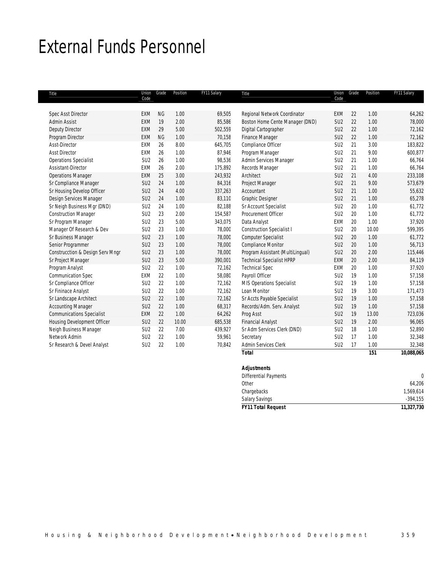## External Funds Personnel

| Title                            | Union<br>Code   | Grade     | Position | FY11 Salary | Title                            | Union<br>Code   | Grade | Position | FY11 Salary |
|----------------------------------|-----------------|-----------|----------|-------------|----------------------------------|-----------------|-------|----------|-------------|
|                                  |                 |           |          |             |                                  |                 |       |          |             |
| <b>Spec Asst Director</b>        | <b>EXM</b>      | <b>NG</b> | 1.00     | 69,505      | Regional Network Coordinator     | EXM             | 22    | 1.00     | 64,262      |
| <b>Admin Assist</b>              | EXM             | 19        | 2.00     | 85,586      | Boston Home Cente Manager (DND)  | SU <sub>2</sub> | 22    | 1.00     | 78,000      |
| <b>Deputy Director</b>           | <b>EXM</b>      | 29        | 5.00     | 502,559     | Digital Cartographer             | SU <sub>2</sub> | 22    | 1.00     | 72,162      |
| Program Director                 | EXM             | <b>NG</b> | 1.00     | 70,158      | Finance Manager                  | SU <sub>2</sub> | 22    | 1.00     | 72,162      |
| Asst-Director                    | EXM             | 26        | 8.00     | 645,705     | Compliance Officer               | SU <sub>2</sub> | 21    | 3.00     | 183,822     |
| <b>Asst Director</b>             | EXM             | 26        | 1.00     | 87,946      | Program Manager                  | SU <sub>2</sub> | 21    | 9.00     | 600,877     |
| <b>Operations Specialist</b>     | SU <sub>2</sub> | 26        | 1.00     | 98,536      | Admin Services Manager           | SU <sub>2</sub> | 21    | 1.00     | 66,764      |
| Assistant-Director               | EXM             | 26        | 2.00     | 175,892     | Records Manager                  | SU <sub>2</sub> | 21    | 1.00     | 66,764      |
| <b>Operations Manager</b>        | <b>EXM</b>      | 25        | 3.00     | 243,932     | Architect                        | SU <sub>2</sub> | 21    | 4.00     | 233,108     |
| Sr Compliance Manager            | SU <sub>2</sub> | 24        | 1.00     | 84,316      | Project Manager                  | SU <sub>2</sub> | 21    | 9.00     | 573,679     |
| Sr Housing Develop Officer       | SU <sub>2</sub> | 24        | 4.00     | 337,263     | Accountant                       | SU <sub>2</sub> | 21    | 1.00     | 55,632      |
| Design Services Manager          | SU <sub>2</sub> | 24        | 1.00     | 83,110      | Graphic Designer                 | SU <sub>2</sub> | 21    | 1.00     | 65,278      |
| Sr Neigh Business Mgr (DND)      | SU <sub>2</sub> | 24        | 1.00     | 82,188      | Sr Account Specialist            | SU <sub>2</sub> | 20    | 1.00     | 61,772      |
| <b>Construction Manager</b>      | SU <sub>2</sub> | 23        | 2.00     | 154,587     | Procurement Officer              | SU <sub>2</sub> | 20    | 1.00     | 61,772      |
| Sr Program Manager               | SU <sub>2</sub> | 23        | 5.00     | 343,075     | Data Analyst                     | EXM             | 20    | 1.00     | 37,920      |
| Manager Of Research & Dev        | SU <sub>2</sub> | 23        | 1.00     | 78,000      | <b>Construction Specialist I</b> | SU <sub>2</sub> | 20    | 10.00    | 599,395     |
| Sr Business Manager              | SU <sub>2</sub> | 23        | 1.00     | 78,000      | <b>Computer Specialist</b>       | SU <sub>2</sub> | 20    | 1.00     | 61,772      |
| Senior Programmer                | SU <sub>2</sub> | 23        | 1.00     | 78,000      | <b>Compliance Monitor</b>        | SU <sub>2</sub> | 20    | 1.00     | 56,713      |
| Construcction & Design Serv Mngr | SU <sub>2</sub> | 23        | 1.00     | 78,000      | Program Assistant (MultiLingual) | SU <sub>2</sub> | 20    | 2.00     | 115,446     |
| Sr Project Manager               | SU <sub>2</sub> | 23        | 5.00     | 390,001     | <b>Technical Specialist HPRP</b> | <b>EXM</b>      | 20    | 2.00     | 84,119      |
| Program Analyst                  | SU <sub>2</sub> | 22        | 1.00     | 72,162      | <b>Technical Spec</b>            | <b>EXM</b>      | 20    | 1.00     | 37,920      |
| Communication Spec               | EXM             | 22        | 1.00     | 58,080      | Payroll Officer                  | SU <sub>2</sub> | 19    | 1.00     | 57,158      |
| Sr Compliance Officer            | SU <sub>2</sub> | 22        | 1.00     | 72,162      | <b>MIS Operations Specialist</b> | SU <sub>2</sub> | 19    | 1.00     | 57,158      |
| Sr Fininace Analyst              | SU <sub>2</sub> | 22        | 1.00     | 72,162      | Loan Monitor                     | SU <sub>2</sub> | 19    | 3.00     | 171,473     |
| Sr Landscape Architect           | SU <sub>2</sub> | 22        | 1.00     | 72,162      | Sr Accts Payable Specialist      | SU <sub>2</sub> | 19    | 1.00     | 57,158      |
| <b>Accounting Manager</b>        | SU <sub>2</sub> | 22        | 1.00     | 68,317      | Records/Adm. Serv. Analyst       | SU <sub>2</sub> | 19    | 1.00     | 57,158      |
| <b>Communications Specialist</b> | EXM             | 22        | 1.00     | 64,262      | Prog Asst                        | SU <sub>2</sub> | 19    | 13.00    | 723,036     |
| Housing Development Officer      | SU <sub>2</sub> | 22        | 10.00    | 685,538     | <b>Financial Analyst</b>         | SU <sub>2</sub> | 19    | 2.00     | 96,065      |
| Neigh Business Manager           | SU <sub>2</sub> | 22        | 7.00     | 439,927     | Sr Adm Services Clerk (DND)      | SU <sub>2</sub> | 18    | 1.00     | 52,890      |
| Network Admin                    | SU <sub>2</sub> | 22        | 1.00     | 59,961      | Secretary                        | SU <sub>2</sub> | 17    | 1.00     | 32,348      |
| Sr Research & Devel Analyst      | SU <sub>2</sub> | 22        | 1.00     | 70,842      | <b>Admin Services Clerk</b>      | SU <sub>2</sub> | 17    | 1.00     | 32,348      |
|                                  |                 |           |          |             | <b>Total</b>                     |                 |       | 151      | 10,088,065  |

| TUldi                        | 13 I<br><b>10,000,00</b> 3 |
|------------------------------|----------------------------|
| <b>Adjustments</b>           |                            |
| <b>Differential Payments</b> |                            |
| Other                        | 64,206                     |
| Chargebacks                  | 1,569,614                  |
| <b>Salary Savings</b>        | $-394,155$                 |
| <b>FY11 Total Request</b>    | 11,327,730                 |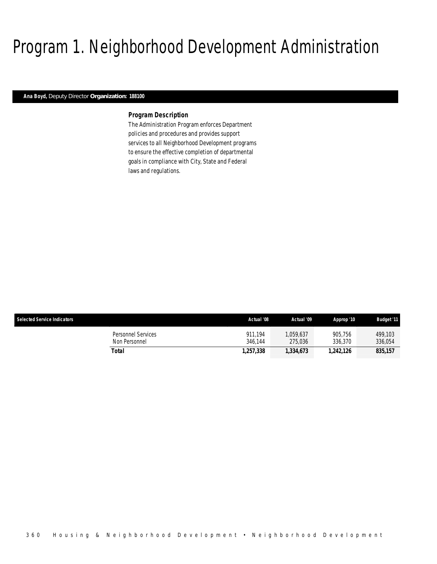# Program 1. Neighborhood Development Administration

## *Ana Boyd, Deputy Director Organization: 188100*

### *Program Description*

The Administration Program enforces Department policies and procedures and provides support services to all Neighborhood Development programs to ensure the effective completion of departmental goals in compliance with City, State and Federal laws and regulations.

| <b>Selected Service Indicators</b>         | Actual '08         | Actual '09           | Approp '10         | <b>Budget '11</b>  |
|--------------------------------------------|--------------------|----------------------|--------------------|--------------------|
| <b>Personnel Services</b><br>Non Personnel | 911.194<br>346.144 | 1.059.637<br>275.036 | 905.756<br>336.370 | 499.103<br>336,054 |
| Total                                      | 1,257,338          | 1.334.673            | 1.242.126          | 835,157            |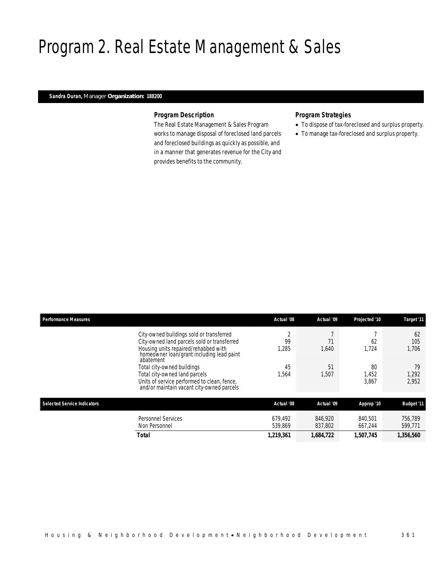# Program 2. Real Estate Management & Sales

## *Sandra Duran, Manager Organization: 188200*

## *Program Description*

The Real Estate Management & Sales Program works to manage disposal of foreclosed land parcels and foreclosed buildings as quickly as possible, and in a manner that generates revenue for the City and provides benefits to the community.

## *Program Strategies*

- To dispose of tax-foreclosed and surplus property.
- To manage tax-foreclosed and surplus property.

| <b>Performance Measures</b>                                                                                                     | Actual '08             | Actual '09  | Projected '10 | Target '11         |
|---------------------------------------------------------------------------------------------------------------------------------|------------------------|-------------|---------------|--------------------|
| City-owned buildings sold or transferred<br>City-owned land parcels sold or transferred<br>Housing units repaired/rehabbed with | $\Omega$<br>99<br>.285 | 71<br>1.640 | 62<br>1.724   | 62<br>105<br>1.706 |
| homeowner loan/grant including lead paint<br>abatement                                                                          |                        |             |               |                    |
| Total city-owned buildings                                                                                                      | 45                     | 51          | 80            | 79                 |
| Total city-owned land parcels                                                                                                   | .564                   | 1.507       | 1,452         | 1,292              |
| Units of service performed to clean, fence,<br>and/or maintain vacant city-owned parcels                                        |                        |             | 3.867         | 2,952              |
| <b>Selected Service Indicators</b>                                                                                              | Actual '08             | Actual '09  | Approp '10    | <b>Budget '11</b>  |
| Personnel Services                                                                                                              | 679,492                | 846,920     | 840,501       | 756,789            |
| Non Personnel                                                                                                                   | 539.869                | 837,802     | 667,244       | 599,771            |
| <b>Total</b>                                                                                                                    | 1,219,361              | 1,684,722   | 1,507,745     | 1,356,560          |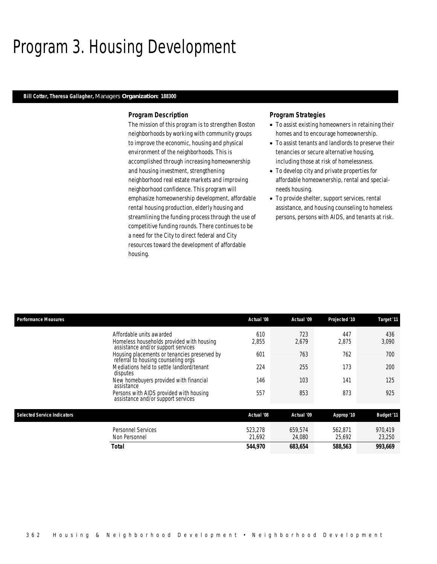# Program 3. Housing Development

### *Bill Cotter, Theresa Gallagher, Managers Organization: 188300*

### *Program Description*

The mission of this program is to strengthen Boston neighborhoods by working with community groups to improve the economic, housing and physical environment of the neighborhoods. This is accomplished through increasing homeownership and housing investment, strengthening neighborhood real estate markets and improving neighborhood confidence. This program will emphasize homeownership development, affordable rental housing production, elderly housing and streamlining the funding process through the use of competitive funding rounds. There continues to be a need for the City to direct federal and City resources toward the development of affordable housing.

## *Program Strategies*

- To assist existing homeowners in retaining their homes and to encourage homeownership.
- To assist tenants and landlords to preserve their tenancies or secure alternative housing, including those at risk of homelessness.
- To develop city and private properties for affordable homeownership, rental and specialneeds housing.
- To provide shelter, support services, rental assistance, and housing counseling to homeless persons, persons with AIDS, and tenants at risk.

| <b>Performance Measures</b>        |                                                                                     | Actual '08 | <b>Actual '09</b> | Projected '10 | Target '11        |
|------------------------------------|-------------------------------------------------------------------------------------|------------|-------------------|---------------|-------------------|
|                                    | Affordable units awarded                                                            | 610        | 723               | 447           | 436               |
|                                    | Homeless households provided with housing<br>assistance and/or support services     | 2,855      | 2,679             | 2.875         | 3,090             |
|                                    | Housing placements or tenancies preserved by<br>referral to housing counseling orgs | 601        | 763               | 762           | 700               |
|                                    | Mediations held to settle landlord/tenant<br>disputes                               | 224        | 255               | 173           | 200               |
|                                    | New homebuyers provided with financial<br>assistance                                | 146        | 103               | 141           | 125               |
|                                    | Persons with AIDS provided with housing<br>assistance and/or support services       | 557        | 853               | 873           | 925               |
| <b>Selected Service Indicators</b> |                                                                                     | Actual '08 | Actual '09        | Approp '10    | <b>Budget '11</b> |
|                                    | <b>Personnel Services</b>                                                           | 523,278    | 659.574           | 562.871       | 970.419           |
|                                    | Non Personnel                                                                       | 21,692     | 24,080            | 25,692        | 23,250            |
|                                    | <b>Total</b>                                                                        | 544,970    | 683,654           | 588,563       | 993,669           |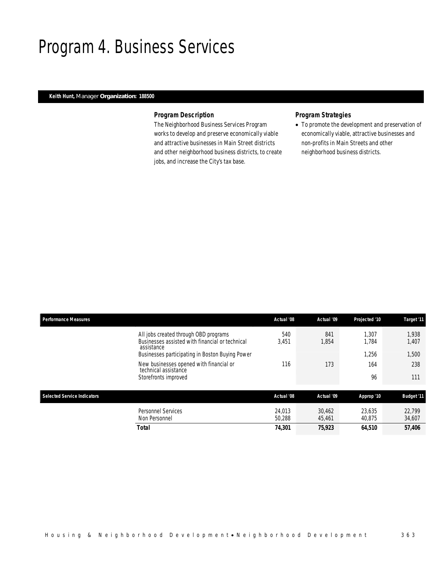## Program 4. Business Services

## *Keith Hunt, Manager Organization: 188500*

## *Program Description*

The Neighborhood Business Services Program works to develop and preserve economically viable and attractive businesses in Main Street districts and other neighborhood business districts, to create jobs, and increase the City's tax base.

## *Program Strategies*

• To promote the development and preservation of economically viable, attractive businesses and non-profits in Main Streets and other neighborhood business districts.

| <b>Performance Measures</b> |                                                                                                                                                           | Actual '08       | Actual '09       | Projected '10           | Target '11              |
|-----------------------------|-----------------------------------------------------------------------------------------------------------------------------------------------------------|------------------|------------------|-------------------------|-------------------------|
|                             | All jobs created through OBD programs<br>Businesses assisted with financial or technical<br>assistance<br>Businesses participating in Boston Buying Power | 540<br>3,451     | 841<br>1,854     | 1.307<br>1.784<br>1,256 | 1,938<br>1,407<br>1,500 |
|                             | New businesses opened with financial or<br>technical assistance<br>Storefronts improved                                                                   | 116              | 173              | 164<br>96               | 238<br>111              |
| Selected Service Indicators |                                                                                                                                                           | Actual '08       | Actual '09       | Approp '10              | <b>Budget '11</b>       |
|                             | <b>Personnel Services</b><br>Non Personnel                                                                                                                | 24.013<br>50.288 | 30.462<br>45.461 | 23.635<br>40.875        | 22.799<br>34,607        |
|                             | <b>Total</b>                                                                                                                                              | 74,301           | 75,923           | 64,510                  | 57,406                  |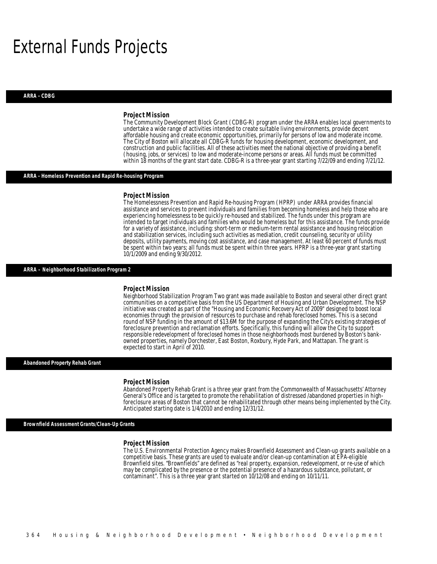## External Funds Projects

#### *ARRA - CDBG*

#### *Project Mission*

The Community Development Block Grant (CDBG-R) program under the ARRA enables local governments to undertake a wide range of activities intended to create suitable living environments, provide decent affordable housing and create economic opportunities, primarily for persons of low and moderate income. The City of Boston will allocate all CDBG-R funds for housing development, economic development, and construction and public facilities. All of these activities meet the national objective of providing a benefit (housing, jobs, or services) to low and moderate-income persons or areas. All funds must be committed within 18 months of the grant start date. CDBG-R is a three-year grant starting 7/22/09 and ending 7/21/12.

### *ARRA - Homeless Prevention and Rapid Re-housing Program*

#### *Project Mission*

The Homelessness Prevention and Rapid Re-housing Program (HPRP) under ARRA provides financial assistance and services to prevent individuals and families from becoming homeless and help those who are experiencing homelessness to be quickly re-housed and stabilized. The funds under this program are intended to target individuals and families who would be homeless but for this assistance. The funds provide for a variety of assistance, including: short-term or medium-term rental assistance and housing relocation and stabilization services, including such activities as mediation, credit counseling, security or utility deposits, utility payments, moving cost assistance, and case management. At least 60 percent of funds must be spent within two years; all funds must be spent within three years. HPRP is a three-year grant starting 10/1/2009 and ending 9/30/2012.

## *ARRA – Neighborhood Stabilization Program 2*

### *Project Mission*

Neighborhood Stabilization Program Two grant was made available to Boston and several other direct grant communities on a competitive basis from the US Department of Housing and Urban Development. The NSP initiative was created as part of the "Housing and Economic Recovery Act of 2009" designed to boost local economies through the provision of resources to purchase and rehab foreclosed homes. This is a second round of NSP funding in the amount of \$13.6M for the purpose of expanding the City's existing strategies of foreclosure prevention and reclamation efforts. Specifically, this funding will allow the City to support responsible redevelopment of foreclosed homes in those neighborhoods most burdened by Boston's bankowned properties, namely Dorchester, East Boston, Roxbury, Hyde Park, and Mattapan. The grant is expected to start in April of 2010.

#### *Abandoned Property Rehab Grant*

#### *Project Mission*

Abandoned Property Rehab Grant is a three year grant from the Commonwealth of Massachusetts' Attorney General's Office and is targeted to promote the rehabilitation of distressed /abandoned properties in highforeclosure areas of Boston that cannot be rehabilitated through other means being implemented by the City. Anticipated starting date is 1/4/2010 and ending 12/31/12.

*Brownfield Assessment Grants/Clean-Up Grants* 

#### *Project Mission*

The U.S. Environmental Protection Agency makes Brownfield Assessment and Clean-up grants available on a competitive basis. These grants are used to evaluate and/or clean-up contamination at EPA-eligible Brownfield sites. "Brownfields" are defined as "real property, expansion, redevelopment, or re-use of which may be complicated by the presence or the potential presence of a hazardous substance, pollutant, or contaminant". This is a three year grant started on 10/12/08 and ending on 10/11/11.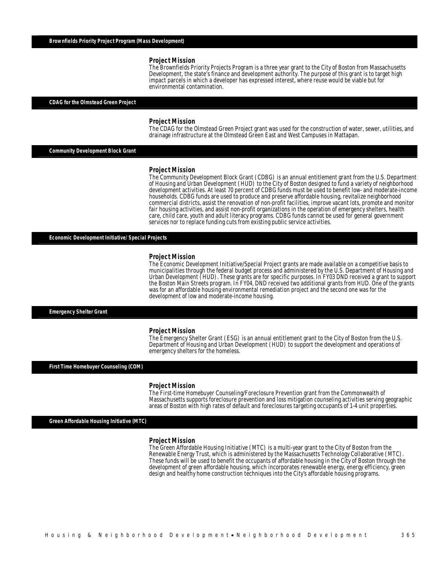The Brownfields Priority Projects Program is a three year grant to the City of Boston from Massachusetts Development, the state's finance and development authority. The purpose of this grant is to target high impact parcels in which a developer has expressed interest, where reuse would be viable but for environmental contamination.

## *CDAG for the Olmstead Green Project*

#### *Project Mission*

The CDAG for the Olmstead Green Project grant was used for the construction of water, sewer, utilities, and drainage infrastructure at the Olmstead Green East and West Campuses in Mattapan.

*Community Development Block Grant* 

#### *Project Mission*

The Community Development Block Grant (CDBG) is an annual entitlement grant from the U.S. Department of Housing and Urban Development (HUD) to the City of Boston designed to fund a variety of neighborhood development activities. At least 70 percent of CDBG funds must be used to benefit low- and moderate-income households. CDBG funds are used to produce and preserve affordable housing, revitalize neighborhood commercial districts, assist the renovation of non-profit facilities, improve vacant lots, promote and monitor fair housing activities, and assist non-profit organizations in the operation of emergency shelters, health care, child care, youth and adult literacy programs. CDBG funds cannot be used for general government services nor to replace funding cuts from existing public service activities.

*Economic Development Initiative/ Special Projects* 

#### *Project Mission*

The Economic Development Initiative/Special Project grants are made available on a competitive basis to municipalities through the federal budget process and administered by the U.S. Department of Housing and Urban Development (HUD). These grants are for specific purposes. In FY03 DND received a grant to support the Boston Main Streets program. In FY04, DND received two additional grants from HUD. One of the grants was for an affordable housing environmental remediation project and the second one was for the development of low and moderate-income housing.

### *Emergency Shelter Grant*

#### *Project Mission*

The Emergency Shelter Grant (ESG) is an annual entitlement grant to the City of Boston from the U.S. Department of Housing and Urban Development (HUD) to support the development and operations of emergency shelters for the homeless.

#### *First Time Homebuyer Counseling (COM)*

#### *Project Mission*

The First-time Homebuyer Counseling/Foreclosure Prevention grant from the Commonwealth of Massachusetts supports foreclosure prevention and loss mitigation counseling activities serving geographic areas of Boston with high rates of default and foreclosures targeting occupants of 1-4 unit properties.

*Green Affordable Housing Initiative (MTC)* 

#### *Project Mission*

The Green Affordable Housing Initiative (MTC) is a multi-year grant to the City of Boston from the Renewable Energy Trust, which is administered by the Massachusetts Technology Collaborative (MTC). These funds will be used to benefit the occupants of affordable housing in the City of Boston through the development of green affordable housing, which incorporates renewable energy, energy efficiency, green design and healthy home construction techniques into the City's affordable housing programs.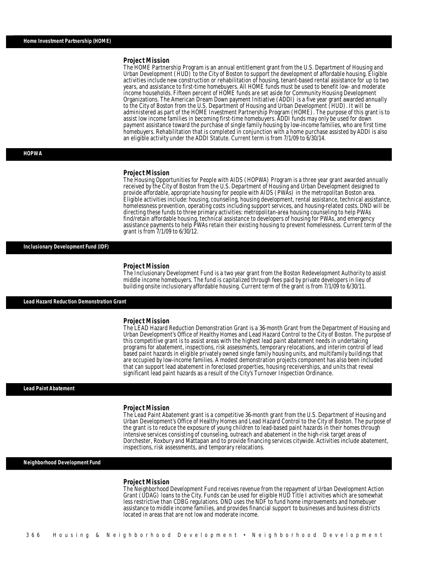The HOME Partnership Program is an annual entitlement grant from the U.S. Department of Housing and Urban Development (HUD) to the City of Boston to support the development of affordable housing. Eligible activities include new construction or rehabilitation of housing, tenant-based rental assistance for up to two years, and assistance to first-time homebuyers. All HOME funds must be used to benefit low- and moderate income households. Fifteen percent of HOME funds are set aside for Community Housing Development Organizations. The American Dream Down payment Initiative (ADDI) is a five year grant awarded annually to the City of Boston from the U.S. Department of Housing and Urban Development (HUD). It will be administered as part of the HOME Investment Partnership Program (HOME). The purpose of this grant is to assist low income families in becoming first-time homebuyers. ADDI funds may only be used for down payment assistance toward the purchase of single family housing by low-income families, who are first time homebuyers. Rehabilitation that is completed in conjunction with a home purchase assisted by ADDI is also an eligible activity under the ADDI Statute. Current term is from 7/1/09 to 6/30/14.

*HOPWA* 

#### *Project Mission*

The Housing Opportunities for People with AIDS (HOPWA) Program is a three year grant awarded annually received by the City of Boston from the U.S. Department of Housing and Urban Development designed to provide affordable, appropriate housing for people with AIDS (PWAs) in the metropolitan Boston area. Eligible activities include: housing, counseling, housing development, rental assistance, technical assistance, homelessness prevention, operating costs including support services, and housing-related costs. DND will be directing these funds to three primary activities: metropolitan-area housing counseling to help PWAs find/retain affordable housing, technical assistance to developers of housing for PWAs, and emergency assistance payments to help PWAs retain their existing housing to prevent homelessness. Current term of the grant is from 7/1/09 to 6/30/12.

*Inclusionary Development Fund (IDF)* 

#### *Project Mission*

Ì

The Inclusionary Development Fund is a two year grant from the Boston Redevelopment Authority to assist middle income homebuyers. The fund is capitalized through fees paid by private developers in lieu of building onsite inclusionary affordable housing. Current term of the grant is from 7/1/09 to 6/30/11.

*Lead Hazard Reduction Demonstration Grant* 

### *Project Mission*

The LEAD Hazard Reduction Demonstration Grant is a 36-month Grant from the Department of Housing and Urban Development's Office of Healthy Homes and Lead Hazard Control to the City of Boston. The purpose of this competitive grant is to assist areas with the highest lead paint abatement needs in undertaking programs for abatement, inspections, risk assessments, temporary relocations, and interim control of lead based paint hazards in eligible privately owned single family housing units, and multifamily buildings that are occupied by low-income families. A modest demonstration projects component has also been included that can support lead abatement in foreclosed properties, housing receiverships, and units that reveal significant lead paint hazards as a result of the City's Turnover Inspection Ordinance.

#### *Lead Paint Abatement*

### *Project Mission*

The Lead Paint Abatement grant is a competitive 36-month grant from the U.S. Department of Housing and Urban Development's Office of Healthy Homes and Lead Hazard Control to the City of Boston. The purpose of the grant is to reduce the exposure of young children to lead-based paint hazards in their homes through intensive services consisting of counseling, outreach and abatement in the high-risk target areas of Dorchester, Roxbury and Mattapan and to provide financing services citywide. Activities include abatement, inspections, risk assessments, and temporary relocations.

#### *Neighborhood Development Fund*

#### *Project Mission*

The Neighborhood Development Fund receives revenue from the repayment of Urban Development Action Grant (UDAG) loans to the City. Funds can be used for eligible HUD Title I activities which are somewhat less restrictive than CDBG regulations. DND uses the NDF to fund home improvements and homebuyer assistance to middle income families, and provides financial support to businesses and business districts located in areas that are not low and moderate income.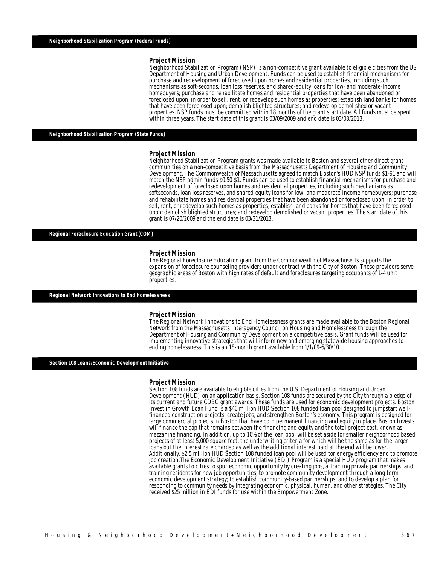Neighborhood Stabilization Program (NSP) is a non-competitive grant available to eligible cities from the US Department of Housing and Urban Development. Funds can be used to establish financial mechanisms for purchase and redevelopment of foreclosed upon homes and residential properties, including such mechanisms as soft-seconds, loan loss reserves, and shared-equity loans for low- and moderate-income homebuyers; purchase and rehabilitate homes and residential properties that have been abandoned or foreclosed upon, in order to sell, rent, or redevelop such homes as properties; establish land banks for homes that have been foreclosed upon; demolish blighted structures; and redevelop demolished or vacant properties. NSP funds must be committed within 18 months of the grant start date. All funds must be spent within three years. The start date of this grant is 03/09/2009 and end date is 03/08/2013.

*Neighborhood Stabilization Program (State Funds)* 

#### *Project Mission*

Neighborhood Stabilization Program grants was made available to Boston and several other direct grant communities on a non-competitive basis from the Massachusetts Department of Housing and Community Development. The Commonwealth of Massachusetts agreed to match Boston's HUD NSP funds \$1-\$1 and will match the NSP admin funds \$0.50-\$1. Funds can be used to establish financial mechanisms for purchase and redevelopment of foreclosed upon homes and residential properties, including such mechanisms as softseconds, loan loss reserves, and shared-equity loans for low- and moderate-income homebuyers; purchase and rehabilitate homes and residential properties that have been abandoned or foreclosed upon, in order to sell, rent, or redevelop such homes as properties; establish land banks for homes that have been foreclosed upon; demolish blighted structures; and redevelop demolished or vacant properties. The start date of this grant is 07/20/2009 and the end date is 03/31/2013. Ì

*Regional Foreclosure Education Grant (COM)* 

#### *Project Mission*

The Regional Foreclosure Education grant from the Commonwealth of Massachusetts supports the expansion of foreclosure counseling providers under contract with the City of Boston. These providers serve geographic areas of Boston with high rates of default and foreclosures targeting occupants of 1-4 unit properties.

*Regional Network Innovations to End Homelessness* 

#### *Project Mission*

Î

The Regional Network Innovations to End Homelessness grants are made available to the Boston Regional Network from the Massachusetts Interagency Council on Housing and Homelessness through the Department of Housing and Community Development on a competitive basis. Grant funds will be used for implementing innovative strategies that will inform new and emerging statewide housing approaches to ending homelessness. This is an 18-month grant available from  $1/1/09-6/30/10$ .

### *Section 108 Loans/Economic Development Initiative*

#### *Project Mission*

Section 108 funds are available to eligible cities from the U.S. Department of Housing and Urban Development (HUD) on an application basis. Section 108 funds are secured by the City through a pledge of its current and future CDBG grant awards. These funds are used for economic development projects. Boston Invest in Growth Loan Fund is a \$40 million HUD Section 108 funded loan pool designed to jumpstart wellfinanced construction projects, create jobs, and strengthen Boston's economy. This program is designed for large commercial projects in Boston that have both permanent financing and equity in place. Boston Invests will finance the gap that remains between the financing and equity and the total project cost, known as mezzanine financing. In addition, up to 10% of the loan pool will be set aside for smaller neighborhood based projects of at least 5,000 square feet, the underwriting criteria for which will be the same as for the larger loans but the interest rate charged as well as the additional interest paid at the end will be lower. Additionally, \$2.5 million HUD Šection 108 funded loan pool will be used tor energy efficiency and to promote<br>job creation.The Economic Development Initiative (EDI) Program is a special HUD program that makes available grants to cities to spur economic opportunity by creating jobs, attracting private partnerships, and training residents for new job opportunities; to promote community development through a long-term economic development strategy; to establish community-based partnerships; and to develop a plan for responding to community needs by integrating economic, physical, human, and other strategies. The City received \$25 million in EDI funds for use within the Empowerment Zone.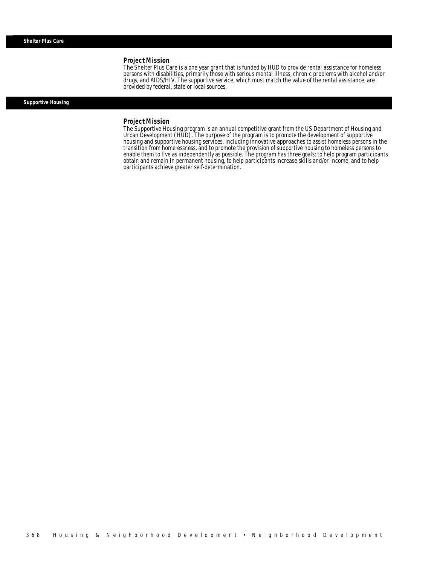The Shelter Plus Care is a one year grant that is funded by HUD to provide rental assistance for homeless persons with disabilities, primarily those with serious mental illness, chronic problems with alcohol and/or drugs, and AIDS/HIV. The supportive service, which must match the value of the rental assistance, are provided by federal, state or local sources.

### *Supportive Housing*

### *Project Mission*

Î

The Supportive Housing program is an annual competitive grant from the US Department of Housing and Urban Development (HUD). The purpose of the program is to promote the development of supportive housing and supportive housing services, including innovative approaches to assist homeless persons in the transition from homelessness, and to promote the provision of supportive housing to homeless persons to enable them to live as independently as possible. The program has three goals; to help program participants obtain and remain in permanent housing, to help participants increase skills and/or income, and to help participants achieve greater self-determination.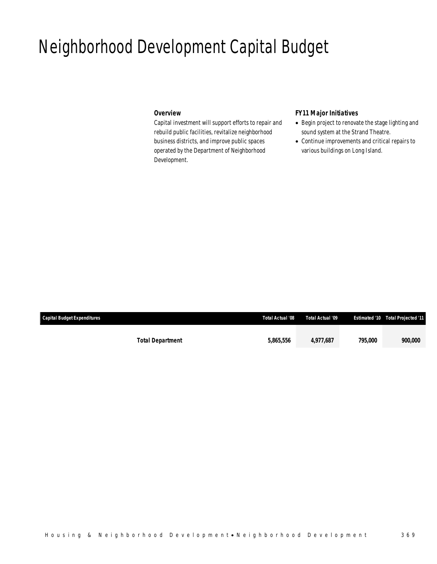## Neighborhood Development Capital Budget

## *Overview*

Capital investment will support efforts to repair and rebuild public facilities, revitalize neighborhood business districts, and improve public spaces operated by the Department of Neighborhood Development.

## *FY11 Major Initiatives*

- Begin project to renovate the stage lighting and sound system at the Strand Theatre.
- Continue improvements and critical repairs to various buildings on Long Island.

| <b>Capital Budget Expenditures</b> |                         | Total Actual '08 | Total Actual '09 |         | <b>Estimated '10 Total Projected '11</b> |
|------------------------------------|-------------------------|------------------|------------------|---------|------------------------------------------|
|                                    |                         |                  |                  |         |                                          |
|                                    | <b>Total Department</b> | 5.865.556        | 4,977,687        | 795.000 | 900,000                                  |